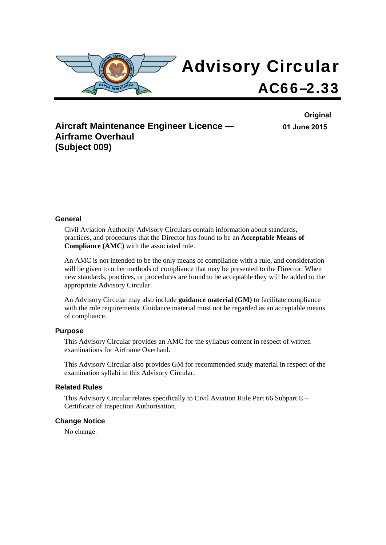

**Aircraft Maintenance Engineer Licence — Airframe Overhaul (Subject 009)** 

**Original 01 June 2015**

### **General**

Civil Aviation Authority Advisory Circulars contain information about standards, practices, and procedures that the Director has found to be an **Acceptable Means of Compliance (AMC)** with the associated rule.

An AMC is not intended to be the only means of compliance with a rule, and consideration will be given to other methods of compliance that may be presented to the Director. When new standards, practices, or procedures are found to be acceptable they will be added to the appropriate Advisory Circular.

An Advisory Circular may also include **guidance material (GM)** to facilitate compliance with the rule requirements. Guidance material must not be regarded as an acceptable means of compliance.

#### **Purpose**

This Advisory Circular provides an AMC for the syllabus content in respect of written examinations for Airframe Overhaul.

This Advisory Circular also provides GM for recommended study material in respect of the examination syllabi in this Advisory Circular.

### **Related Rules**

This Advisory Circular relates specifically to Civil Aviation Rule Part 66 Subpart  $E -$ Certificate of Inspection Authorisation.

#### **Change Notice**

No change.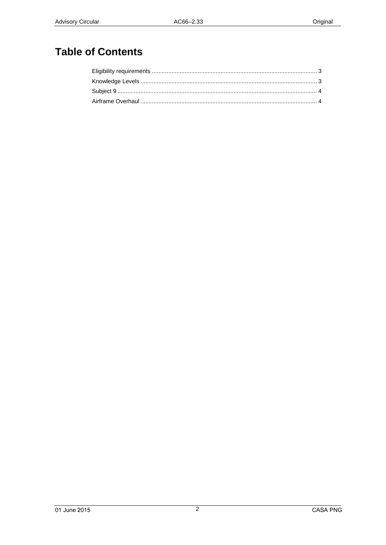# **Table of Contents**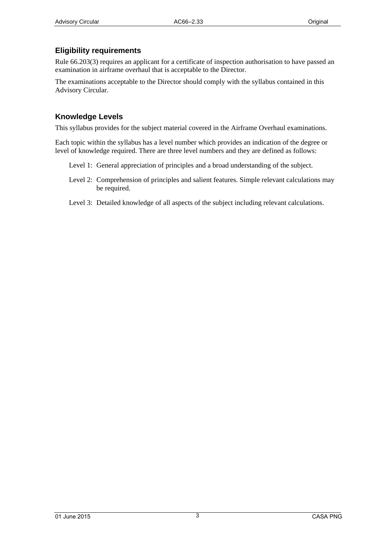# <span id="page-2-1"></span><span id="page-2-0"></span>**Eligibility requirements**

Rule 66.203(3) requires an applicant for a certificate of inspection authorisation to have passed an examination in airframe overhaul that is acceptable to the Director.

The examinations acceptable to the Director should comply with the syllabus contained in this Advisory Circular.

## <span id="page-2-2"></span>**Knowledge Levels**

This syllabus provides for the subject material covered in the Airframe Overhaul examinations.

Each topic within the syllabus has a level number which provides an indication of the degree or level of knowledge required. There are three level numbers and they are defined as follows:

- Level 1: General appreciation of principles and a broad understanding of the subject.
- Level 2: Comprehension of principles and salient features. Simple relevant calculations may be required.
- Level 3: Detailed knowledge of all aspects of the subject including relevant calculations.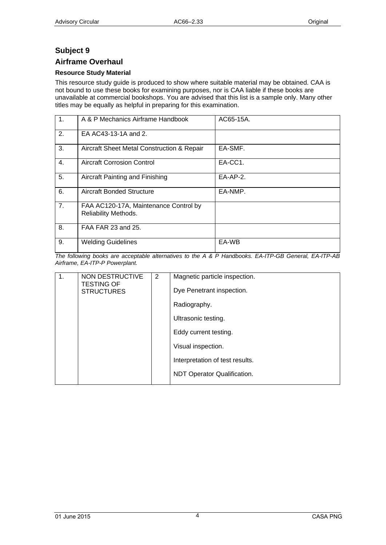# <span id="page-3-1"></span><span id="page-3-0"></span>**Subject 9**

### <span id="page-3-2"></span>**Airframe Overhaul**

### **Resource Study Material**

This resource study guide is produced to show where suitable material may be obtained. CAA is not bound to use these books for examining purposes, nor is CAA liable if these books are unavailable at commercial bookshops. You are advised that this list is a sample only. Many other titles may be equally as helpful in preparing for this examination.

| $\mathbf{1}$ . | A & P Mechanics Airframe Handbook                             | AC65-15A.   |
|----------------|---------------------------------------------------------------|-------------|
| 2.             | EA AC43-13-1A and 2.                                          |             |
| 3.             | Aircraft Sheet Metal Construction & Repair                    | EA-SMF.     |
| 4.             | <b>Aircraft Corrosion Control</b>                             | EA-CC1.     |
| 5.             | Aircraft Painting and Finishing                               | $E$ A-AP-2. |
| 6.             | Aircraft Bonded Structure                                     | EA-NMP.     |
| 7.             | FAA AC120-17A, Maintenance Control by<br>Reliability Methods. |             |
| 8.             | FAA FAR 23 and 25.                                            |             |
| 9.             | <b>Welding Guidelines</b>                                     | EA-WB       |

*The following books are acceptable alternatives to the A & P Handbooks. EA-ITP-GB General, EA-ITP-AB Airframe, EA-ITP-P Powerplant.* 

| $\mathbf{1}$ . | NON DESTRUCTIVE                        | 2 | Magnetic particle inspection.   |
|----------------|----------------------------------------|---|---------------------------------|
|                | <b>TESTING OF</b><br><b>STRUCTURES</b> |   | Dye Penetrant inspection.       |
|                |                                        |   | Radiography.                    |
|                |                                        |   | Ultrasonic testing.             |
|                |                                        |   | Eddy current testing.           |
|                |                                        |   | Visual inspection.              |
|                |                                        |   | Interpretation of test results. |
|                |                                        |   | NDT Operator Qualification.     |
|                |                                        |   |                                 |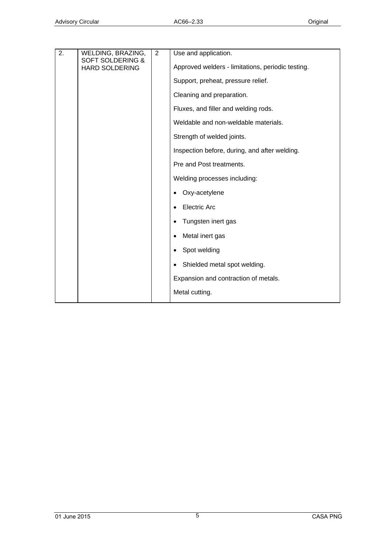| 2. | WELDING, BRAZING,                                    | 2 | Use and application.                              |
|----|------------------------------------------------------|---|---------------------------------------------------|
|    | <b>SOFT SOLDERING &amp;</b><br><b>HARD SOLDERING</b> |   | Approved welders - limitations, periodic testing. |
|    |                                                      |   | Support, preheat, pressure relief.                |
|    |                                                      |   | Cleaning and preparation.                         |
|    |                                                      |   | Fluxes, and filler and welding rods.              |
|    |                                                      |   | Weldable and non-weldable materials.              |
|    |                                                      |   | Strength of welded joints.                        |
|    |                                                      |   | Inspection before, during, and after welding.     |
|    |                                                      |   | Pre and Post treatments.                          |
|    |                                                      |   | Welding processes including:                      |
|    |                                                      |   | Oxy-acetylene<br>$\bullet$                        |
|    |                                                      |   | <b>Electric Arc</b><br>$\bullet$                  |
|    |                                                      |   | Tungsten inert gas<br>$\bullet$                   |
|    |                                                      |   | Metal inert gas<br>$\bullet$                      |
|    |                                                      |   | Spot welding<br>$\bullet$                         |
|    |                                                      |   | Shielded metal spot welding.<br>$\bullet$         |
|    |                                                      |   | Expansion and contraction of metals.              |
|    |                                                      |   | Metal cutting.                                    |
|    |                                                      |   |                                                   |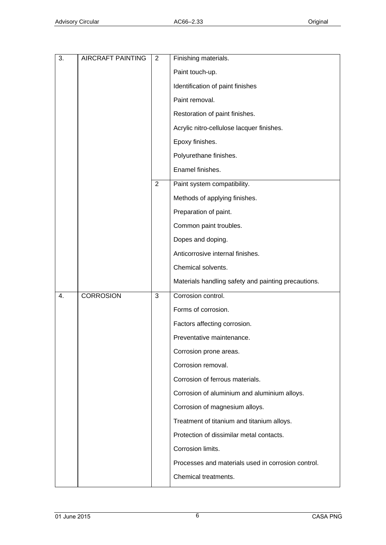| 3. | <b>AIRCRAFT PAINTING</b> | 2 | Finishing materials.                                |
|----|--------------------------|---|-----------------------------------------------------|
|    |                          |   | Paint touch-up.                                     |
|    |                          |   | Identification of paint finishes                    |
|    |                          |   | Paint removal.                                      |
|    |                          |   | Restoration of paint finishes.                      |
|    |                          |   | Acrylic nitro-cellulose lacquer finishes.           |
|    |                          |   | Epoxy finishes.                                     |
|    |                          |   | Polyurethane finishes.                              |
|    |                          |   | Enamel finishes.                                    |
|    |                          | 2 | Paint system compatibility.                         |
|    |                          |   | Methods of applying finishes.                       |
|    |                          |   | Preparation of paint.                               |
|    |                          |   | Common paint troubles.                              |
|    |                          |   | Dopes and doping.                                   |
|    |                          |   | Anticorrosive internal finishes.                    |
|    |                          |   | Chemical solvents.                                  |
|    |                          |   | Materials handling safety and painting precautions. |
| 4. | <b>CORROSION</b>         | 3 | Corrosion control.                                  |
|    |                          |   | Forms of corrosion.                                 |
|    |                          |   | Factors affecting corrosion.                        |
|    |                          |   | Preventative maintenance.                           |
|    |                          |   | Corrosion prone areas.                              |
|    |                          |   | Corrosion removal.                                  |
|    |                          |   | Corrosion of ferrous materials.                     |
|    |                          |   | Corrosion of aluminium and aluminium alloys.        |
|    |                          |   | Corrosion of magnesium alloys.                      |
|    |                          |   | Treatment of titanium and titanium alloys.          |
|    |                          |   | Protection of dissimilar metal contacts.            |
|    |                          |   | Corrosion limits.                                   |
|    |                          |   | Processes and materials used in corrosion control.  |
|    |                          |   | Chemical treatments.                                |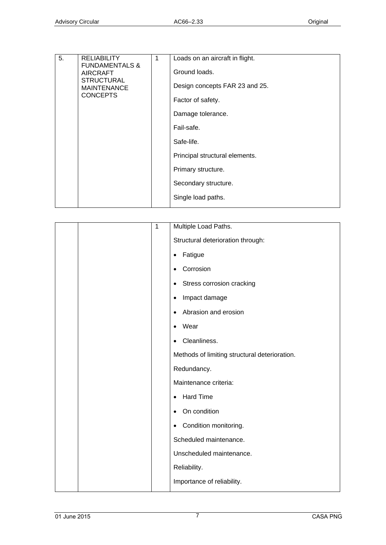| 5. | <b>RELIABILITY</b>                                                                                         | 1 | Loads on an aircraft in flight. |
|----|------------------------------------------------------------------------------------------------------------|---|---------------------------------|
|    | <b>FUNDAMENTALS &amp;</b><br><b>AIRCRAFT</b><br><b>STRUCTURAL</b><br><b>MAINTENANCE</b><br><b>CONCEPTS</b> |   | Ground loads.                   |
|    |                                                                                                            |   | Design concepts FAR 23 and 25.  |
|    |                                                                                                            |   | Factor of safety.               |
|    |                                                                                                            |   | Damage tolerance.               |
|    |                                                                                                            |   | Fail-safe.                      |
|    |                                                                                                            |   | Safe-life.                      |
|    |                                                                                                            |   | Principal structural elements.  |
|    |                                                                                                            |   | Primary structure.              |
|    |                                                                                                            |   | Secondary structure.            |
|    |                                                                                                            |   | Single load paths.              |
|    |                                                                                                            |   |                                 |

|  | 1 | Multiple Load Paths.                          |
|--|---|-----------------------------------------------|
|  |   | Structural deterioration through:             |
|  |   | Fatigue<br>٠                                  |
|  |   | Corrosion<br>$\bullet$                        |
|  |   | Stress corrosion cracking<br>$\bullet$        |
|  |   | Impact damage<br>$\bullet$                    |
|  |   | Abrasion and erosion<br>$\bullet$             |
|  |   | Wear<br>$\bullet$                             |
|  |   | Cleanliness.<br>$\bullet$                     |
|  |   | Methods of limiting structural deterioration. |
|  |   | Redundancy.                                   |
|  |   | Maintenance criteria:                         |
|  |   | <b>Hard Time</b><br>$\bullet$                 |
|  |   | On condition<br>$\bullet$                     |
|  |   | Condition monitoring.<br>$\bullet$            |
|  |   | Scheduled maintenance.                        |
|  |   | Unscheduled maintenance.                      |
|  |   | Reliability.                                  |
|  |   | Importance of reliability.                    |